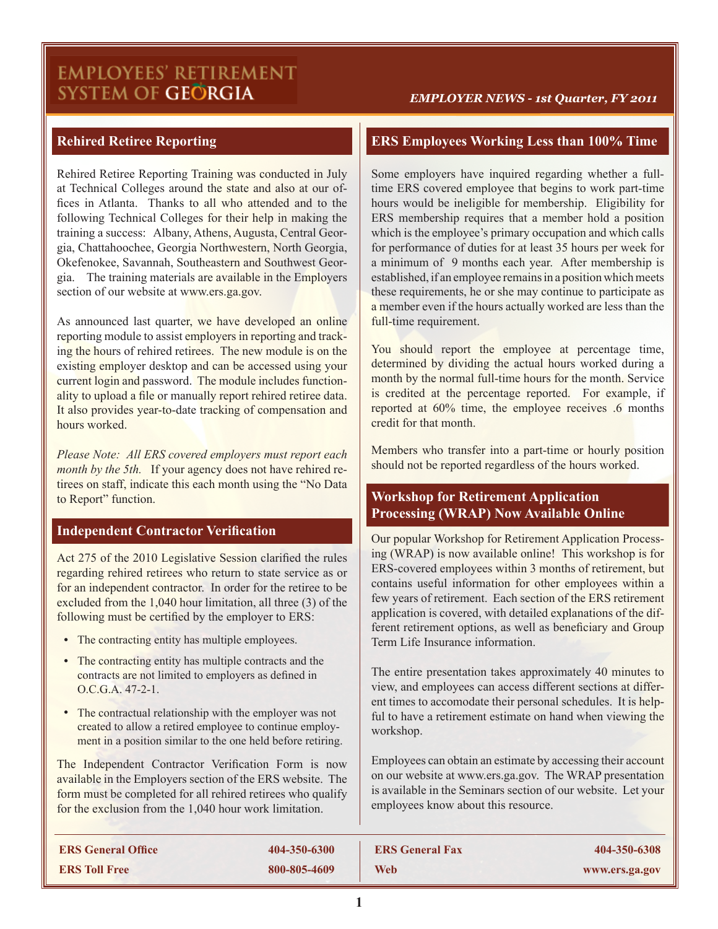# **EMPLOYEES' RETIREMENT** SYSTEM OF GEÖRGIA

#### *EMPLOYER NEWS - 1st Quarter, FY 2011*

# **Rehired Retiree Reporting**

Rehired Retiree Reporting Training was conducted in July at Technical Colleges around the state and also at our offices in Atlanta. Thanks to all who attended and to the following Technical Colleges for their help in making the training a success: Albany, Athens, Augusta, Central Georgia, Chattahoochee, Georgia Northwestern, North Georgia, Okefenokee, Savannah, Southeastern and Southwest Georgia. The training materials are available in the Employers section of our website at www.ers.ga.gov.

As announced last quarter, we have developed an online reporting module to assist employers in reporting and tracking the hours of rehired retirees. The new module is on the existing employer desktop and can be accessed using your current login and password. The module includes functionality to upload a file or manually report rehired retiree data. It also provides year-to-date tracking of compensation and hours worked.

*Please Note: All ERS covered employers must report each month by the 5th.* If your agency does not have rehired retirees on staff, indicate this each month using the "No Data to Report" function.

# **Independent Contractor Verification**

Act 275 of the 2010 Legislative Session clarified the rules regarding rehired retirees who return to state service as or for an independent contractor. In order for the retiree to be excluded from the 1,040 hour limitation, all three (3) of the following must be certified by the employer to ERS:

- The contracting entity has multiple employees.
- The contracting entity has multiple contracts and the contracts are not limited to employers as defined in  $O C G A 47-2-1.$
- **•** The contractual relationship with the employer was not created to allow a retired employee to continue employment in a position similar to the one held before retiring.

The Independent Contractor Verification Form is now available in the Employers section of the ERS website. The form must be completed for all rehired retirees who qualify for the exclusion from the 1,040 hour work limitation.

# **ERS Employees Working Less than 100% Time**

Some employers have inquired regarding whether a fulltime ERS covered employee that begins to work part-time hours would be ineligible for membership. Eligibility for ERS membership requires that a member hold a position which is the employee's primary occupation and which calls for performance of duties for at least 35 hours per week for a minimum of 9 months each year. After membership is established, if an employee remains in a position which meets these requirements, he or she may continue to participate as a member even if the hours actually worked are less than the full-time requirement.

You should report the employee at percentage time, determined by dividing the actual hours worked during a month by the normal full-time hours for the month. Service is credited at the percentage reported. For example, if reported at 60% time, the employee receives .6 months credit for that month.

Members who transfer into a part-time or hourly position should not be reported regardless of the hours worked.

# **Workshop for Retirement Application Processing (WRAP) Now Available Online**

Our popular Workshop for Retirement Application Processing (WRAP) is now available online! This workshop is for ERS-covered employees within 3 months of retirement, but contains useful information for other employees within a few years of retirement. Each section of the ERS retirement application is covered, with detailed explanations of the different retirement options, as well as beneficiary and Group Term Life Insurance information.

The entire presentation takes approximately 40 minutes to view, and employees can access different sections at different times to accomodate their personal schedules. It is helpful to have a retirement estimate on hand when viewing the workshop.

Employees can obtain an estimate by accessing their account on our website at www.ers.ga.gov. The WRAP presentation is available in the Seminars section of our website. Let your employees know about this resource.

| <b>ERS General Office</b> | 404-350-6300 | <b>ERS General Fax</b> | 404-350-6308   |
|---------------------------|--------------|------------------------|----------------|
| <b>ERS Toll Free</b>      | 800-805-4609 | <b>Web</b>             | www.ers.ga.gov |